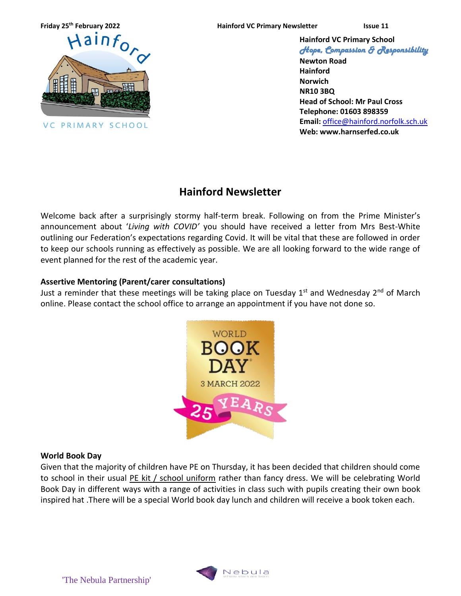



VC PRIMARY SCHOOL

**Hainford VC Primary School** *Hope, Compassion & Responsibility*  **Newton Road Hainford Norwich NR10 3BQ Head of School: Mr Paul Cross Telephone: 01603 898359 Email:** [office@hainford.norfolk.sch.uk](mailto:office@hainfordfirst.norfolk.sch.uk)

**Web: www.harnserfed.co.uk**

# **Hainford Newsletter**

Welcome back after a surprisingly stormy half-term break. Following on from the Prime Minister's announcement about '*Living with COVID'* you should have received a letter from Mrs Best-White outlining our Federation's expectations regarding Covid. It will be vital that these are followed in order to keep our schools running as effectively as possible. We are all looking forward to the wide range of event planned for the rest of the academic year.

#### **Assertive Mentoring (Parent/carer consultations)**

Just a reminder that these meetings will be taking place on Tuesday  $1<sup>st</sup>$  and Wednesday  $2<sup>nd</sup>$  of March online. Please contact the school office to arrange an appointment if you have not done so.



#### **World Book Day**

Given that the majority of children have PE on Thursday, it has been decided that children should come to school in their usual PE kit / school uniform rather than fancy dress. We will be celebrating World Book Day in different ways with a range of activities in class such with pupils creating their own book inspired hat .There will be a special World book day lunch and children will receive a book token each.

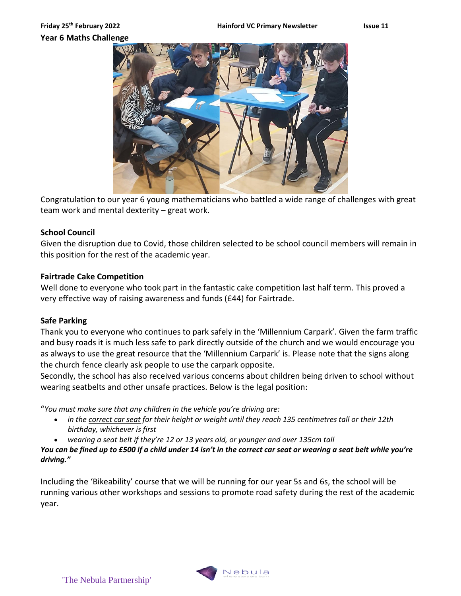# **Year 6 Maths Challenge**



Congratulation to our year 6 young mathematicians who battled a wide range of challenges with great team work and mental dexterity – great work.

#### **School Council**

Given the disruption due to Covid, those children selected to be school council members will remain in this position for the rest of the academic year.

#### **Fairtrade Cake Competition**

Well done to everyone who took part in the fantastic cake competition last half term. This proved a very effective way of raising awareness and funds (£44) for Fairtrade.

#### **Safe Parking**

Thank you to everyone who continues to park safely in the 'Millennium Carpark'. Given the farm traffic and busy roads it is much less safe to park directly outside of the church and we would encourage you as always to use the great resource that the 'Millennium Carpark' is. Please note that the signs along the church fence clearly ask people to use the carpark opposite.

Secondly, the school has also received various concerns about children being driven to school without wearing seatbelts and other unsafe practices. Below is the legal position:

"*You must make sure that any children in the vehicle you're driving are:*

- *in the [correct car seat](https://www.gov.uk/child-car-seats-the-rules) for their height or weight until they reach 135 centimetres tall or their 12th birthday, whichever is first*
- *wearing a seat belt if they're 12 or 13 years old, or younger and over 135cm tall*

*You can be fined up to £500 if a child under 14 isn't in the correct car seat or wearing a seat belt while you're driving."*

Including the 'Bikeability' course that we will be running for our year 5s and 6s, the school will be running various other workshops and sessions to promote road safety during the rest of the academic year.

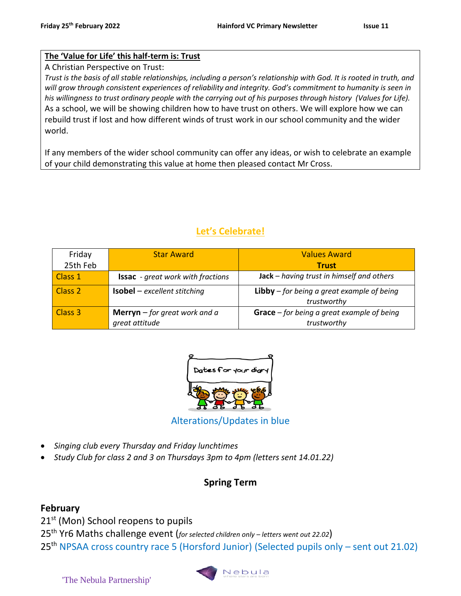#### **The 'Value for Life' this half-term is: Trust**

A Christian Perspective on Trust:

*Trust is the basis of all stable relationships, including a person's relationship with God. It is rooted in truth, and will grow through consistent experiences of reliability and integrity. God's commitment to humanity is seen in his willingness to trust ordinary people with the carrying out of his purposes through history (Values for Life).* As a school, we will be showing children how to have trust on others. We will explore how we can rebuild trust if lost and how different winds of trust work in our school community and the wider world.

If any members of the wider school community can offer any ideas, or wish to celebrate an example of your child demonstrating this value at home then pleased contact Mr Cross.

| Friday   | <b>Star Award</b>                                        | <b>Values Award</b>                                         |
|----------|----------------------------------------------------------|-------------------------------------------------------------|
| 25th Feb |                                                          | <b>Trust</b>                                                |
| Class 1  | <b>Issac</b> - great work with fractions                 | $Jack - having trust in himself and others$                 |
| Class 2  | $Isobel - excellent stitching$                           | Libby $-$ for being a great example of being<br>trustworthy |
| Class 3  | <b>Merryn</b> $-$ for great work and a<br>great attitude | Grace $-$ for being a great example of being<br>trustworthy |

#### **Let's Celebrate!**



Alterations/Updates in blue

- *Singing club every Thursday and Friday lunchtimes*
- *Study Club for class 2 and 3 on Thursdays 3pm to 4pm (letters sent 14.01.22)*

# **Spring Term**

#### **February**

 $21<sup>st</sup>$  (Mon) School reopens to pupils

- 25th Yr6 Maths challenge event (*for selected children only – letters went out 22.02*)
- 25th NPSAA cross country race 5 (Horsford Junior) (Selected pupils only sent out 21.02)